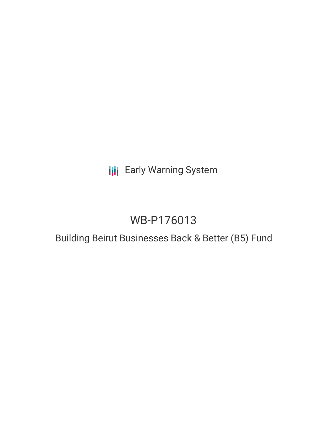**III** Early Warning System

# WB-P176013

## Building Beirut Businesses Back & Better (B5) Fund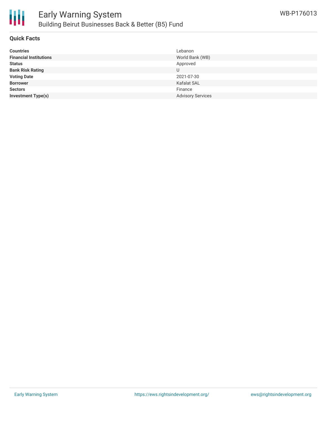

## **Quick Facts**

| <b>Countries</b>              | Lebanon                  |
|-------------------------------|--------------------------|
| <b>Financial Institutions</b> | World Bank (WB)          |
| <b>Status</b>                 | Approved                 |
| <b>Bank Risk Rating</b>       |                          |
| <b>Voting Date</b>            | 2021-07-30               |
| <b>Borrower</b>               | <b>Kafalat SAL</b>       |
| <b>Sectors</b>                | Finance                  |
| <b>Investment Type(s)</b>     | <b>Advisory Services</b> |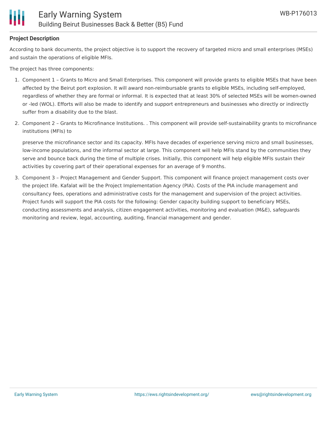

## **Project Description**

According to bank documents, the project objective is to support the recovery of targeted micro and small enterprises (MSEs) and sustain the operations of eligible MFIs.

The project has three components:

- 1. Component 1 Grants to Micro and Small Enterprises. This component will provide grants to eligible MSEs that have been affected by the Beirut port explosion. It will award non-reimbursable grants to eligible MSEs, including self-employed, regardless of whether they are formal or informal. It is expected that at least 30% of selected MSEs will be women-owned or -led (WOL). Efforts will also be made to identify and support entrepreneurs and businesses who directly or indirectly suffer from a disability due to the blast.
- 2. Component 2 Grants to Microfinance Institutions. . This component will provide self-sustainability grants to microfinance institutions (MFIs) to

preserve the microfinance sector and its capacity. MFIs have decades of experience serving micro and small businesses, low-income populations, and the informal sector at large. This component will help MFIs stand by the communities they serve and bounce back during the time of multiple crises. Initially, this component will help eligible MFIs sustain their activities by covering part of their operational expenses for an average of 9 months.

3. Component 3 – Project Management and Gender Support. This component will finance project management costs over the project life. Kafalat will be the Project Implementation Agency (PIA). Costs of the PIA include management and consultancy fees, operations and administrative costs for the management and supervision of the project activities. Project funds will support the PIA costs for the following: Gender capacity building support to beneficiary MSEs, conducting assessments and analysis, citizen engagement activities, monitoring and evaluation (M&E), safeguards monitoring and review, legal, accounting, auditing, financial management and gender.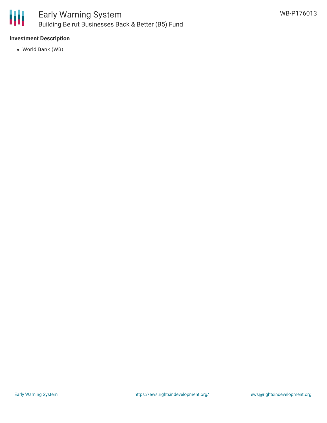

## **Investment Description**

World Bank (WB)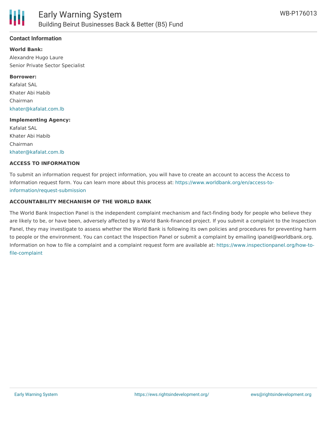

## **Contact Information**

#### **World Bank:**

Alexandre Hugo Laure Senior Private Sector Specialist

#### **Borrower:**

Kafalat SAL Khater Abi Habib Chairman [khater@kafalat.com.lb](mailto:khater@kafalat.com.lb)

#### **Implementing Agency:**

Kafalat SAL Khater Abi Habib Chairman [khater@kafalat.com.lb](mailto:khater@kafalat.com.lb)

#### **ACCESS TO INFORMATION**

To submit an information request for project information, you will have to create an account to access the Access to Information request form. You can learn more about this process at: [https://www.worldbank.org/en/access-to](https://www.worldbank.org/en/access-to-information/request-submission)information/request-submission

#### **ACCOUNTABILITY MECHANISM OF THE WORLD BANK**

The World Bank Inspection Panel is the independent complaint mechanism and fact-finding body for people who believe they are likely to be, or have been, adversely affected by a World Bank-financed project. If you submit a complaint to the Inspection Panel, they may investigate to assess whether the World Bank is following its own policies and procedures for preventing harm to people or the environment. You can contact the Inspection Panel or submit a complaint by emailing ipanel@worldbank.org. Information on how to file a complaint and a complaint request form are available at: [https://www.inspectionpanel.org/how-to](https://www.inspectionpanel.org/how-to-file-complaint)file-complaint